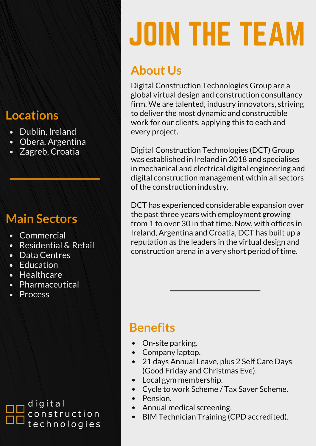#### **Locations**

- Dublin, Ireland
- Obera, Argentina
- Zagreb, Croatia

### **Main Sectors**

- Commercial
- Residential & Retail
- Data Centres
- Education
- Healthcare
- Pharmaceutical
- **Process**

digital construction technologies

# JOIN THE TEAM

## **About Us**

Digital Construction Technologies Group are a global virtual design and construction consultancy firm. We are talented, industry innovators, striving to deliver the most dynamic and constructible work for our clients, applying this to each and every project.

Digital Construction Technologies (DCT) Group was established in Ireland in 2018 and specialises in mechanical and electrical digital engineering and digital construction management within all sectors of the construction industry.

DCT has experienced considerable expansion over the past three years with employment growing from 1 to over 30 in that time. Now, with offices in Ireland, Argentina and Croatia, DCT has built up a reputation as the leaders in the virtual design and construction arena in a very short period of time.

### **Benefits**

- On-site parking.  $\bullet$
- Company laptop.  $\bullet$
- 21 days Annual Leave, plus 2 Self Care Days  $\bullet$ (Good Friday and Christmas Eve).
- Local gym membership.  $\bullet$
- Cycle to work Scheme / Tax Saver Scheme.  $\bullet$
- $\bullet$ Pension.
- Annual medical screening.  $\bullet$
- BIM Technician Training (CPD accredited). $\bullet$